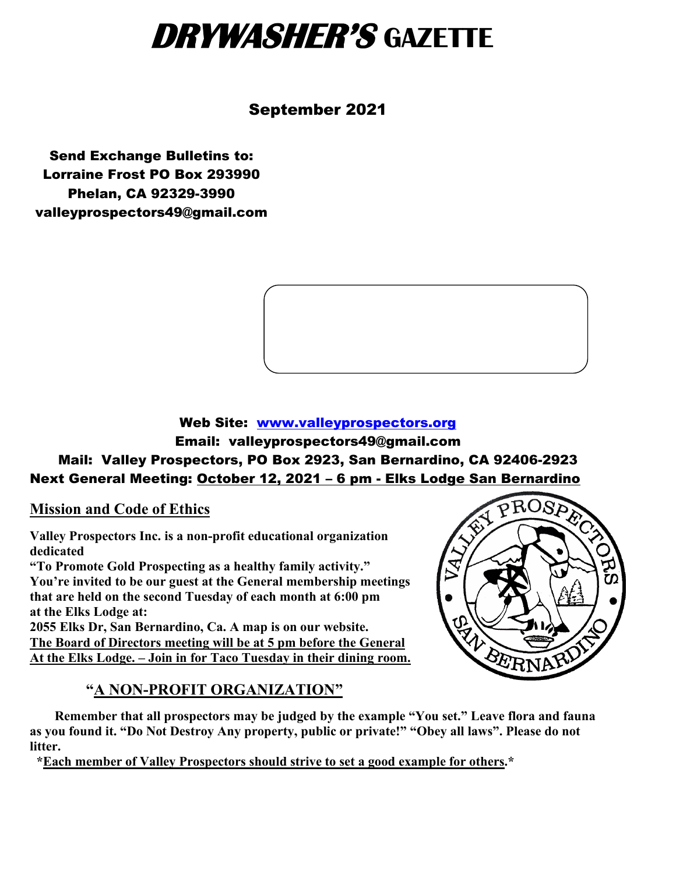# **DRYWASHER'S GAZETTE**

#### September 2021

Send Exchange Bulletins to: Lorraine Frost PO Box 293990 Phelan, CA 92329-3990 valleyprospectors49@gmail.com



#### Web Site: [www.valleyprospectors.org](http://www.valleyprospectors.org/) Email: valleyprospectors49@gmail.com Mail: Valley Prospectors, PO Box 2923, San Bernardino, CA 92406-2923 Next General Meeting: October 12, 2021 – 6 pm - Elks Lodge San Bernardino

**Mission and Code of Ethics**

**Valley Prospectors Inc. is a non-profit educational organization dedicated**

**"To Promote Gold Prospecting as a healthy family activity." You're invited to be our guest at the General membership meetings that are held on the second Tuesday of each month at 6:00 pm at the Elks Lodge at:**

**2055 Elks Dr, San Bernardino, Ca. A map is on our website. The Board of Directors meeting will be at 5 pm before the General At the Elks Lodge. – Join in for Taco Tuesday in their dining room.**

#### **"A NON-PROFIT ORGANIZATION"**



 **Remember that all prospectors may be judged by the example "You set." Leave flora and fauna as you found it. "Do Not Destroy Any property, public or private!" "Obey all laws". Please do not litter.**

 **\*Each member of Valley Prospectors should strive to set a good example for others.\***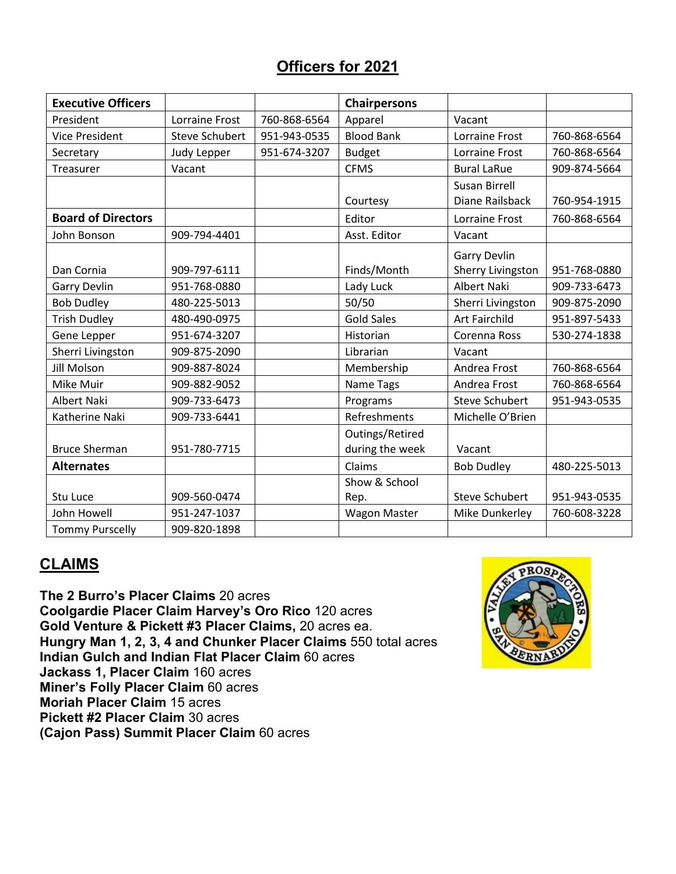# **Officers for 2021**

| <b>Executive Officers</b> |                       |              | <b>Chairpersons</b> |                       |              |
|---------------------------|-----------------------|--------------|---------------------|-----------------------|--------------|
| President                 | Lorraine Frost        | 760-868-6564 | Apparel             | Vacant                |              |
| <b>Vice President</b>     | <b>Steve Schubert</b> | 951-943-0535 | <b>Blood Bank</b>   | Lorraine Frost        | 760-868-6564 |
| Secretary                 | <b>Judy Lepper</b>    | 951-674-3207 | <b>Budget</b>       | Lorraine Frost        | 760-868-6564 |
| Treasurer                 | Vacant                |              | <b>CFMS</b>         | <b>Bural LaRue</b>    | 909-874-5664 |
|                           |                       |              |                     | Susan Birrell         |              |
|                           |                       |              | Courtesy            | Diane Railsback       | 760-954-1915 |
| <b>Board of Directors</b> |                       |              | Editor              | Lorraine Frost        | 760-868-6564 |
| John Bonson               | 909-794-4401          |              | Asst. Editor        | Vacant                |              |
|                           |                       |              |                     | <b>Garry Devlin</b>   |              |
| Dan Cornia                | 909-797-6111          |              | Finds/Month         | Sherry Livingston     | 951-768-0880 |
| <b>Garry Devlin</b>       | 951-768-0880          |              | Lady Luck           | <b>Albert Naki</b>    | 909-733-6473 |
| <b>Bob Dudley</b>         | 480-225-5013          |              | 50/50               | Sherri Livingston     | 909-875-2090 |
| <b>Trish Dudley</b>       | 480-490-0975          |              | <b>Gold Sales</b>   | <b>Art Fairchild</b>  | 951-897-5433 |
| Gene Lepper               | 951-674-3207          |              | Historian           | Corenna Ross          | 530-274-1838 |
| Sherri Livingston         | 909-875-2090          |              | Librarian           | Vacant                |              |
| <b>Jill Molson</b>        | 909-887-8024          |              | Membership          | Andrea Frost          | 760-868-6564 |
| Mike Muir                 | 909-882-9052          |              | Name Tags           | Andrea Frost          | 760-868-6564 |
| <b>Albert Naki</b>        | 909-733-6473          |              | Programs            | <b>Steve Schubert</b> | 951-943-0535 |
| Katherine Naki            | 909-733-6441          |              | Refreshments        | Michelle O'Brien      |              |
|                           |                       |              | Outings/Retired     |                       |              |
| <b>Bruce Sherman</b>      | 951-780-7715          |              | during the week     | Vacant                |              |
| <b>Alternates</b>         |                       |              | Claims              | <b>Bob Dudley</b>     | 480-225-5013 |
|                           |                       |              | Show & School       |                       |              |
| Stu Luce                  | 909-560-0474          |              | Rep.                | <b>Steve Schubert</b> | 951-943-0535 |
| John Howell               | 951-247-1037          |              | <b>Wagon Master</b> | Mike Dunkerley        | 760-608-3228 |
| <b>Tommy Purscelly</b>    | 909-820-1898          |              |                     |                       |              |

## **CLAIMS**

**The 2 Burro's Placer Claims** 20 acres **Coolgardie Placer Claim Harvey's Oro Rico** 120 acres **Gold Venture & Pickett #3 Placer Claims,** 20 acres ea. **Hungry Man 1, 2, 3, 4 and Chunker Placer Claims** 550 total acres **Indian Gulch and Indian Flat Placer Claim** 60 acres **Jackass 1, Placer Claim** 160 acres **Miner's Folly Placer Claim** 60 acres **Moriah Placer Claim** 15 acres **Pickett #2 Placer Claim** 30 acres **(Cajon Pass) Summit Placer Claim** 60 acres

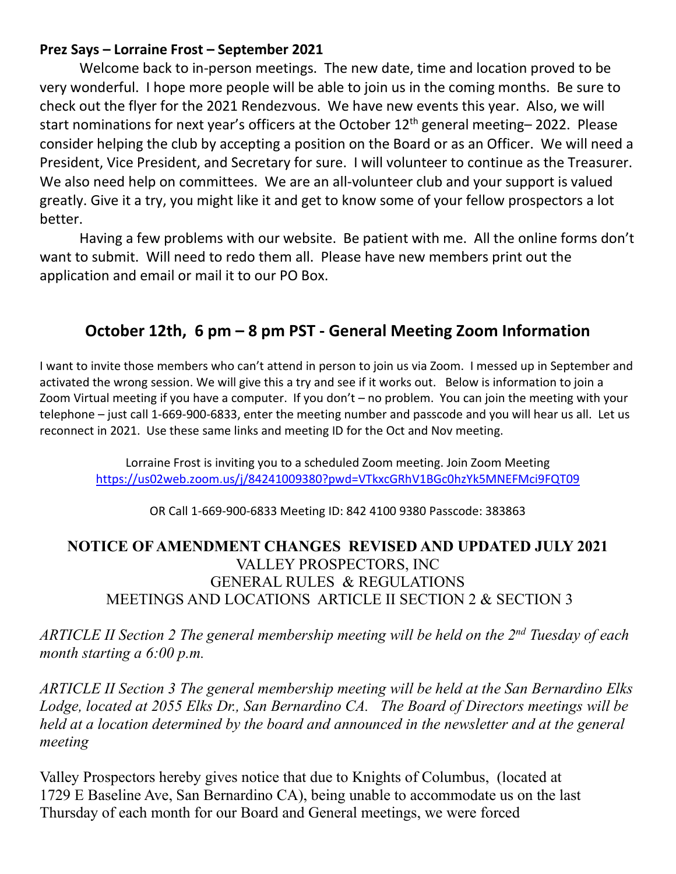#### **Prez Says – Lorraine Frost – September 2021**

Welcome back to in-person meetings. The new date, time and location proved to be very wonderful. I hope more people will be able to join us in the coming months. Be sure to check out the flyer for the 2021 Rendezvous. We have new events this year. Also, we will start nominations for next year's officers at the October  $12<sup>th</sup>$  general meeting– 2022. Please consider helping the club by accepting a position on the Board or as an Officer. We will need a President, Vice President, and Secretary for sure. I will volunteer to continue as the Treasurer. We also need help on committees. We are an all-volunteer club and your support is valued greatly. Give it a try, you might like it and get to know some of your fellow prospectors a lot better.

Having a few problems with our website. Be patient with me. All the online forms don't want to submit. Will need to redo them all. Please have new members print out the application and email or mail it to our PO Box.

## **October 12th, 6 pm – 8 pm PST - General Meeting Zoom Information**

I want to invite those members who can't attend in person to join us via Zoom. I messed up in September and activated the wrong session. We will give this a try and see if it works out. Below is information to join a Zoom Virtual meeting if you have a computer. If you don't – no problem. You can join the meeting with your telephone – just call 1-669-900-6833, enter the meeting number and passcode and you will hear us all. Let us reconnect in 2021. Use these same links and meeting ID for the Oct and Nov meeting.

Lorraine Frost is inviting you to a scheduled Zoom meeting. Join Zoom Meeting <https://us02web.zoom.us/j/84241009380?pwd=VTkxcGRhV1BGc0hzYk5MNEFMci9FQT09>

#### OR Call 1-669-900-6833 Meeting ID: 842 4100 9380 Passcode: 383863

#### **NOTICE OF AMENDMENT CHANGES REVISED AND UPDATED JULY 2021** VALLEY PROSPECTORS, INC GENERAL RULES & REGULATIONS MEETINGS AND LOCATIONS ARTICLE II SECTION 2 & SECTION 3

*ARTICLE II Section 2 The general membership meeting will be held on the 2nd Tuesday of each month starting a 6:00 p.m.*

*ARTICLE II Section 3 The general membership meeting will be held at the San Bernardino Elks Lodge, located at 2055 Elks Dr., San Bernardino CA. The Board of Directors meetings will be held at a location determined by the board and announced in the newsletter and at the general meeting*

Valley Prospectors hereby gives notice that due to Knights of Columbus, (located at 1729 E Baseline Ave, San Bernardino CA), being unable to accommodate us on the last Thursday of each month for our Board and General meetings, we were forced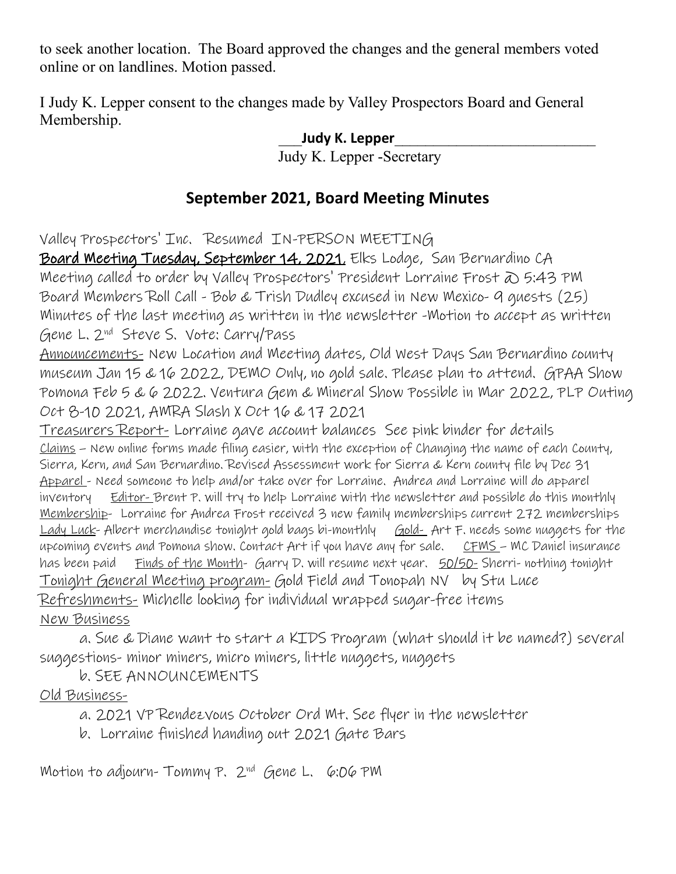to seek another location. The Board approved the changes and the general members voted online or on landlines. Motion passed.

I Judy K. Lepper consent to the changes made by Valley Prospectors Board and General Membership.

#### \_\_\_**Judy K. Lepper**\_\_\_\_\_\_\_\_\_\_\_\_\_\_\_\_\_\_\_\_\_\_\_\_\_\_

Judy K. Lepper -Secretary

# **September 2021, Board Meeting Minutes**

Valley Prospectors' Inc. Resumed IN-PERSON MEETING

Board Meeting Tuesday, September 14, 2021, Elks Lodge, San Bernardino CA Meeting called to order by Valley Prospectors' President Lorraine Frost @ 5:43 PM Board Members Roll Call - Bob & Trish Dudley excused in New Mexico- 9 guests (25) Minutes of the last meeting as written in the newsletter -Motion to accept as written Gene L. 2nd Steve S. Vote: Carry/Pass

Announcements- New Location and Meeting dates, Old West Days San Bernardino county museum Jan 15 & 16 2022, DEMO Only, no gold sale. Please plan to attend. GPAA Show Pomona Feb 5 & 6 2022. Ventura Gem & Mineral Show Possible in Mar 2022, PLP Outing Oct 8-10 2021, AMRA Slash X Oct 16 & 17 2021

Treasurers Report- Lorraine gave account balances See pink binder for details Claims – New online forms made filing easier, with the exception of Changing the name of each County, Sierra, Kern, and San Bernardino. Revised Assessment work for Sierra & Kern county file by Dec 31 Apparel - Need someone to help and/or take over for Lorraine. Andrea and Lorraine will do apparel inventory Editor- Brent P. will try to help Lorraine with the newsletter and possible do this monthly Membership- Lorraine for Andrea Frost received 3 new family memberships current 272 memberships Lady Luck- Albert merchandise tonight gold bags bi-monthly Gold- Art F. needs some nuggets for the upcoming events and Pomona show. Contact Art if you have any for sale. CFMS - MC Daniel insurance has been paid Finds of the Month- Garry D. will resume next year. 50/50- Sherri- nothing tonight Tonight General Meeting program- Gold Field and Tonopah NV by Stu Luce Refreshments- Michelle looking for individual wrapped sugar-free items

New Business

a. Sue & Diane want to start a KIDS Program (what should it be named?) several suggestions- minor miners, micro miners, little nuggets, nuggets

b. SEE ANNOUNCEMENTS

Old Business-

a. 2021 VP Rendezvous October Ord Mt. See flyer in the newsletter

b. Lorraine finished handing out 2021 Gate Bars

Motion to adjourn- Tommy P. 2<sup>nd</sup> Gene L. 6:06 PM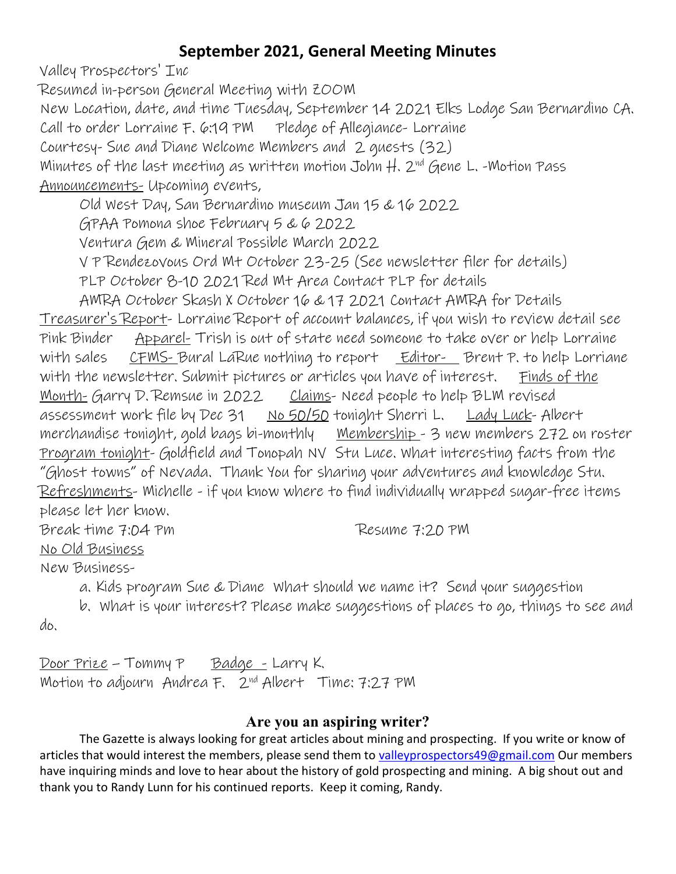# **September 2021, General Meeting Minutes**

Valley Prospectors' Inc

Resumed in-person General Meeting with ZOOM New Location, date, and time Tuesday, September 14 2021 Elks Lodge San Bernardino CA. Call to order Lorraine F. 6:19 PM Pledge of Allegiance- Lorraine Courtesy- Sue and Diane Welcome Members and 2 guests (32) Minutes of the last meeting as written motion John  $H$ . 2<sup>nd</sup> Gene L. -Motion Pass Announcements- Upcoming events,

Old West Day, San Bernardino museum Jan 15 & 16 2022

GPAA Pomona shoe February 5 & 6 2022

Ventura Gem & Mineral Possible March 2022

V P Rendezovous Ord Mt October 23-25 (See newsletter filer for details)

PLP October 8-10 2021 Red Mt Area Contact PLP for details

AMRA October Skash X October 16 & 17 2021 Contact AMRA for Details Treasurer's Report- Lorraine Report of account balances, if you wish to review detail see Pink Binder Apparel- Trish is out of state need someone to take over or help Lorraine with sales CFMS-Bural LaRue nothing to report Editor- Brent P. to help Lorriane with the newsletter. Submit pictures or articles you have of interest. Finds of the Month- Garry D. Remsue in 2022 Claims- Need people to help BLM revised assessment work file by Dec 31 No 50/50 tonight Sherri L. Lady Luck-Albert merchandise tonight, gold bags bi-monthly Membership - 3 new members 272 on roster Program tonight- Goldfield and Tonopah NV Stu Luce. What interesting facts from the "Ghost towns" of Nevada. Thank You for sharing your adventures and knowledge Stu. Refreshments- Michelle - if you know where to find individually wrapped sugar-free items please let her know. Break time 7:04 Pm Resume 7:20 PM

No Old Business New Business-

a. Kids program Sue & Diane What should we name it? Send your suggestion

b. What is your interest? Please make suggestions of places to go, things to see and do.

Door Prize - Tommy P Badge - Larry K. Motion to adjourn Andrea F. 2nd Albert Time: 7:27 PM

## **Are you an aspiring writer?**

The Gazette is always looking for great articles about mining and prospecting. If you write or know of articles that would interest the members, please send them to [valleyprospectors49@gmail.com](mailto:valleyprospectors49@gmail.com) Our members have inquiring minds and love to hear about the history of gold prospecting and mining. A big shout out and thank you to Randy Lunn for his continued reports. Keep it coming, Randy.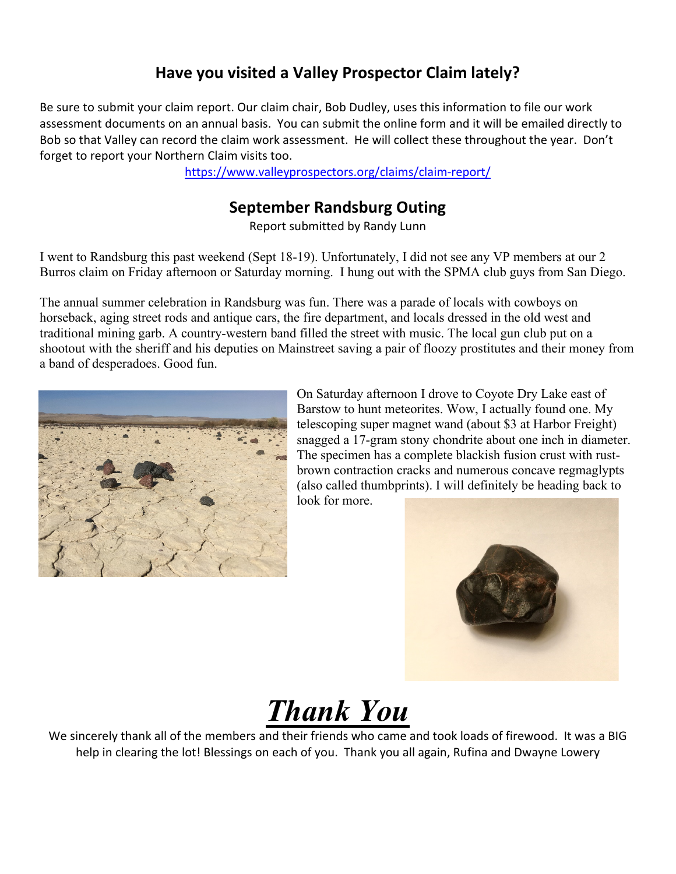## **Have you visited a Valley Prospector Claim lately?**

Be sure to submit your claim report. Our claim chair, Bob Dudley, uses this information to file our work assessment documents on an annual basis. You can submit the online form and it will be emailed directly to Bob so that Valley can record the claim work assessment. He will collect these throughout the year. Don't forget to report your Northern Claim visits too.

<https://www.valleyprospectors.org/claims/claim-report/>

#### **September Randsburg Outing**

Report submitted by Randy Lunn

I went to Randsburg this past weekend (Sept 18-19). Unfortunately, I did not see any VP members at our 2 Burros claim on Friday afternoon or Saturday morning. I hung out with the SPMA club guys from San Diego.

The annual summer celebration in Randsburg was fun. There was a parade of locals with cowboys on horseback, aging street rods and antique cars, the fire department, and locals dressed in the old west and traditional mining garb. A country-western band filled the street with music. The local gun club put on a shootout with the sheriff and his deputies on Mainstreet saving a pair of floozy prostitutes and their money from a band of desperadoes. Good fun.



On Saturday afternoon I drove to Coyote Dry Lake east of Barstow to hunt meteorites. Wow, I actually found one. My telescoping super magnet wand (about \$3 at Harbor Freight) snagged a 17-gram stony chondrite about one inch in diameter. The specimen has a complete blackish fusion crust with rustbrown contraction cracks and numerous concave regmaglypts (also called thumbprints). I will definitely be heading back to look for more.



*Thank You*

We sincerely thank all of the members and their friends who came and took loads of firewood. It was a BIG help in clearing the lot! Blessings on each of you. Thank you all again, Rufina and Dwayne Lowery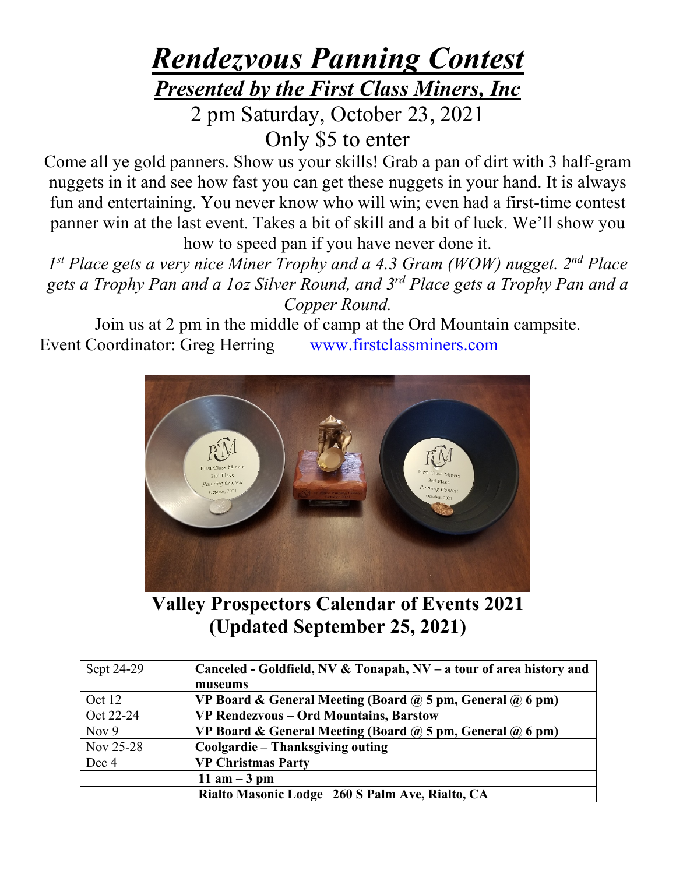# *Rendezvous Panning Contest Presented by the First Class Miners, Inc* 2 pm Saturday, October 23, 2021

Only \$5 to enter

Come all ye gold panners. Show us your skills! Grab a pan of dirt with 3 half-gram nuggets in it and see how fast you can get these nuggets in your hand. It is always fun and entertaining. You never know who will win; even had a first-time contest panner win at the last event. Takes a bit of skill and a bit of luck. We'll show you how to speed pan if you have never done it.

*1st Place gets a very nice Miner Trophy and a 4.3 Gram (WOW) nugget. 2nd Place gets a Trophy Pan and a 1oz Silver Round, and 3rd Place gets a Trophy Pan and a Copper Round.*

Join us at 2 pm in the middle of camp at the Ord Mountain campsite. Event Coordinator: Greg Herring [www.firstclassminers.com](http://www.firstclassminers.com/)



**Valley Prospectors Calendar of Events 2021 (Updated September 25, 2021)**

| Sept 24-29 | Canceled - Goldfield, NV & Tonapah, NV - a tour of area history and     |
|------------|-------------------------------------------------------------------------|
|            | museums                                                                 |
| Oct 12     | VP Board & General Meeting (Board $\omega$ 5 pm, General $\omega$ 6 pm) |
| Oct 22-24  | VP Rendezvous - Ord Mountains, Barstow                                  |
| Nov $9$    | VP Board & General Meeting (Board $\omega$ 5 pm, General $\omega$ 6 pm) |
| Nov 25-28  | Coolgardie – Thanksgiving outing                                        |
| Dec 4      | <b>VP Christmas Party</b>                                               |
|            | 11 am $-3$ pm                                                           |
|            | Rialto Masonic Lodge 260 S Palm Ave, Rialto, CA                         |